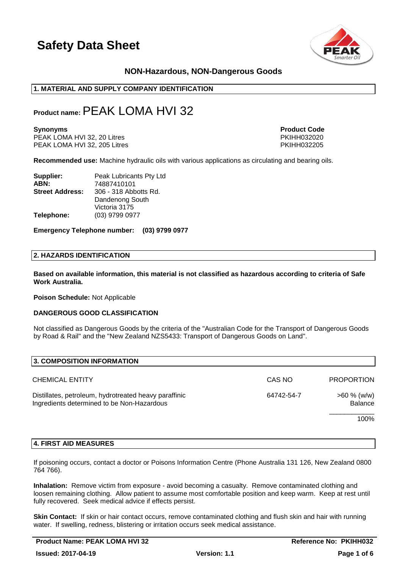

# **NON-Hazardous, NON-Dangerous Goods**

# **1. MATERIAL AND SUPPLY COMPANY IDENTIFICATION**

# **Product name:**PEAK LOMA HVI 32

PEAK LOMA HVI 32, 20 Litres PEAK LOMA HVI 32, 20 Litres PKIHH032020<br>PEAK LOMA HVI 32. 205 Litres PKIHH032205 PEAK LOMA HVI 32, 205 Litres

**Synonyms Product Code** 

**Recommended use:** Machine hydraulic oils with various applications as circulating and bearing oils.

| Supplier:              | Peak Lubricants Pty Ltd |
|------------------------|-------------------------|
| ABN:                   | 74887410101             |
| <b>Street Address:</b> | 306 - 318 Abbotts Rd.   |
|                        | Dandenong South         |
|                        | Victoria 3175           |
| Telephone:             | (03) 9799 0977          |

**Emergency Telephone number: (03) 9799 0977**

#### **2. HAZARDS IDENTIFICATION**

**Based on available information, this material is not classified as hazardous according to criteria of Safe Work Australia.**

**Poison Schedule:** Not Applicable

#### **DANGEROUS GOOD CLASSIFICATION**

Not classified as Dangerous Goods by the criteria of the "Australian Code for the Transport of Dangerous Goods by Road & Rail" and the "New Zealand NZS5433: Transport of Dangerous Goods on Land".

| 3. COMPOSITION INFORMATION                                                                          |            |                           |
|-----------------------------------------------------------------------------------------------------|------------|---------------------------|
| <b>CHEMICAL ENTITY</b>                                                                              | CAS NO     | <b>PROPORTION</b>         |
| Distillates, petroleum, hydrotreated heavy paraffinic<br>Ingredients determined to be Non-Hazardous | 64742-54-7 | $>60 \%$ (w/w)<br>Balance |
|                                                                                                     |            | 100%                      |

#### **4. FIRST AID MEASURES**

If poisoning occurs, contact a doctor or Poisons Information Centre (Phone Australia 131 126, New Zealand 0800 764 766).

**Inhalation:** Remove victim from exposure - avoid becoming a casualty. Remove contaminated clothing and loosen remaining clothing. Allow patient to assume most comfortable position and keep warm. Keep at rest until fully recovered. Seek medical advice if effects persist.

**Skin Contact:** If skin or hair contact occurs, remove contaminated clothing and flush skin and hair with running water. If swelling, redness, blistering or irritation occurs seek medical assistance.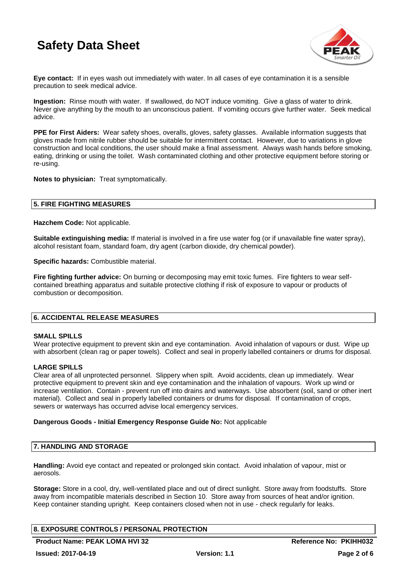

**Eye contact:** If in eyes wash out immediately with water. In all cases of eye contamination it is a sensible precaution to seek medical advice.

**Ingestion:** Rinse mouth with water. If swallowed, do NOT induce vomiting. Give a glass of water to drink. Never give anything by the mouth to an unconscious patient. If vomiting occurs give further water. Seek medical advice.

**PPE for First Aiders:** Wear safety shoes, overalls, gloves, safety glasses. Available information suggests that gloves made from nitrile rubber should be suitable for intermittent contact. However, due to variations in glove construction and local conditions, the user should make a final assessment. Always wash hands before smoking, eating, drinking or using the toilet. Wash contaminated clothing and other protective equipment before storing or re-using.

**Notes to physician:** Treat symptomatically.

# **5. FIRE FIGHTING MEASURES**

**Hazchem Code:** Not applicable.

**Suitable extinguishing media:** If material is involved in a fire use water fog (or if unavailable fine water spray), alcohol resistant foam, standard foam, dry agent (carbon dioxide, dry chemical powder).

**Specific hazards:** Combustible material.

**Fire fighting further advice:** On burning or decomposing may emit toxic fumes. Fire fighters to wear selfcontained breathing apparatus and suitable protective clothing if risk of exposure to vapour or products of combustion or decomposition.

# **6. ACCIDENTAL RELEASE MEASURES**

# **SMALL SPILLS**

Wear protective equipment to prevent skin and eye contamination. Avoid inhalation of vapours or dust. Wipe up with absorbent (clean rag or paper towels). Collect and seal in properly labelled containers or drums for disposal.

# **LARGE SPILLS**

Clear area of all unprotected personnel. Slippery when spilt. Avoid accidents, clean up immediately. Wear protective equipment to prevent skin and eye contamination and the inhalation of vapours. Work up wind or increase ventilation. Contain - prevent run off into drains and waterways. Use absorbent (soil, sand or other inert material). Collect and seal in properly labelled containers or drums for disposal. If contamination of crops, sewers or waterways has occurred advise local emergency services.

#### **Dangerous Goods - Initial Emergency Response Guide No:** Not applicable

# **7. HANDLING AND STORAGE**

**Handling:** Avoid eye contact and repeated or prolonged skin contact. Avoid inhalation of vapour, mist or aerosols.

**Storage:** Store in a cool, dry, well-ventilated place and out of direct sunlight. Store away from foodstuffs. Store away from incompatible materials described in Section 10. Store away from sources of heat and/or ignition. Keep container standing upright. Keep containers closed when not in use - check regularly for leaks.

# **8. EXPOSURE CONTROLS / PERSONAL PROTECTION**

**Product Name: PEAK LOMA HVI 32 All research Article States Reference No: PKIHH032**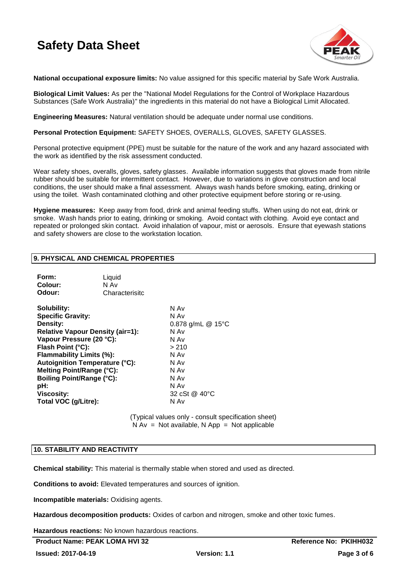

**National occupational exposure limits:** No value assigned for this specific material by Safe Work Australia.

**Biological Limit Values:** As per the "National Model Regulations for the Control of Workplace Hazardous Substances (Safe Work Australia)" the ingredients in this material do not have a Biological Limit Allocated.

**Engineering Measures:** Natural ventilation should be adequate under normal use conditions.

**Personal Protection Equipment:** SAFETY SHOES, OVERALLS, GLOVES, SAFETY GLASSES.

Personal protective equipment (PPE) must be suitable for the nature of the work and any hazard associated with the work as identified by the risk assessment conducted.

Wear safety shoes, overalls, gloves, safety glasses. Available information suggests that gloves made from nitrile rubber should be suitable for intermittent contact. However, due to variations in glove construction and local conditions, the user should make a final assessment. Always wash hands before smoking, eating, drinking or using the toilet. Wash contaminated clothing and other protective equipment before storing or re-using.

**Hygiene measures:** Keep away from food, drink and animal feeding stuffs. When using do not eat, drink or smoke. Wash hands prior to eating, drinking or smoking. Avoid contact with clothing. Avoid eye contact and repeated or prolonged skin contact. Avoid inhalation of vapour, mist or aerosols. Ensure that eyewash stations and safety showers are close to the workstation location.

# **9. PHYSICAL AND CHEMICAL PROPERTIES**

| Form:<br>Colour:<br>Odour:                                                                                                                                                                                                                                                                                                                | Liquid<br>N Av<br>Characterisitc |                                                                                                                            |
|-------------------------------------------------------------------------------------------------------------------------------------------------------------------------------------------------------------------------------------------------------------------------------------------------------------------------------------------|----------------------------------|----------------------------------------------------------------------------------------------------------------------------|
| Solubility:<br><b>Specific Gravity:</b><br>Density:<br><b>Relative Vapour Density (air=1):</b><br>Vapour Pressure (20 °C):<br>Flash Point (°C):<br>Flammability Limits (%):<br><b>Autoignition Temperature (°C):</b><br>Melting Point/Range (°C):<br><b>Boiling Point/Range (°C):</b><br>pH:<br><b>Viscosity:</b><br>Total VOC (g/Litre): |                                  | N Av<br>N Av<br>0.878 g/mL @ 15°C<br>N Av<br>N Av<br>>210<br>N Av<br>N Av<br>N Av<br>N Av<br>N Av<br>32 cSt @ 40°C<br>N Av |

(Typical values only - consult specification sheet)  $N Av = Not available$ . N App = Not applicable

#### **10. STABILITY AND REACTIVITY**

**Chemical stability:** This material is thermally stable when stored and used as directed.

**Conditions to avoid:** Elevated temperatures and sources of ignition.

**Incompatible materials:** Oxidising agents.

**Hazardous decomposition products:** Oxides of carbon and nitrogen, smoke and other toxic fumes.

**Hazardous reactions:** No known hazardous reactions.

**Product Name: PEAK LOMA HVI 32 All research Area Reference No: PKIHH032**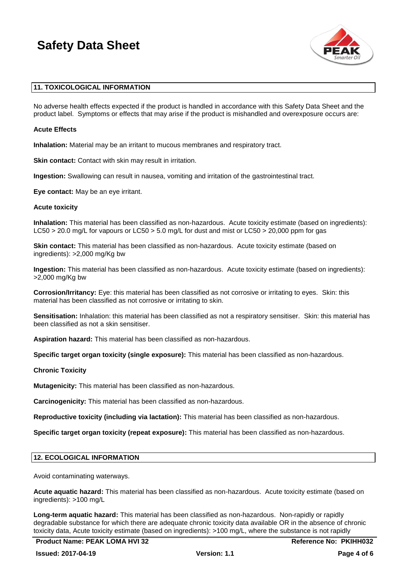

# **11. TOXICOLOGICAL INFORMATION**

No adverse health effects expected if the product is handled in accordance with this Safety Data Sheet and the product label. Symptoms or effects that may arise if the product is mishandled and overexposure occurs are:

### **Acute Effects**

**Inhalation:** Material may be an irritant to mucous membranes and respiratory tract.

**Skin contact:** Contact with skin may result in irritation.

**Ingestion:** Swallowing can result in nausea, vomiting and irritation of the gastrointestinal tract.

**Eye contact:** May be an eye irritant.

#### **Acute toxicity**

**Inhalation:** This material has been classified as non-hazardous. Acute toxicity estimate (based on ingredients): LC50 > 20.0 mg/L for vapours or LC50 > 5.0 mg/L for dust and mist or LC50 > 20,000 ppm for gas

**Skin contact:** This material has been classified as non-hazardous. Acute toxicity estimate (based on ingredients): >2,000 mg/Kg bw

**Ingestion:** This material has been classified as non-hazardous. Acute toxicity estimate (based on ingredients): >2,000 mg/Kg bw

**Corrosion/Irritancy:** Eye: this material has been classified as not corrosive or irritating to eyes. Skin: this material has been classified as not corrosive or irritating to skin.

**Sensitisation:** Inhalation: this material has been classified as not a respiratory sensitiser. Skin: this material has been classified as not a skin sensitiser.

**Aspiration hazard:** This material has been classified as non-hazardous.

**Specific target organ toxicity (single exposure):** This material has been classified as non-hazardous.

**Chronic Toxicity**

**Mutagenicity:** This material has been classified as non-hazardous.

**Carcinogenicity:** This material has been classified as non-hazardous.

**Reproductive toxicity (including via lactation):** This material has been classified as non-hazardous.

**Specific target organ toxicity (repeat exposure):** This material has been classified as non-hazardous.

#### **12. ECOLOGICAL INFORMATION**

Avoid contaminating waterways.

**Acute aquatic hazard:** This material has been classified as non-hazardous. Acute toxicity estimate (based on ingredients): >100 mg/L

**Long-term aquatic hazard:** This material has been classified as non-hazardous. Non-rapidly or rapidly degradable substance for which there are adequate chronic toxicity data available OR in the absence of chronic toxicity data, Acute toxicity estimate (based on ingredients): >100 mg/L, where the substance is not rapidly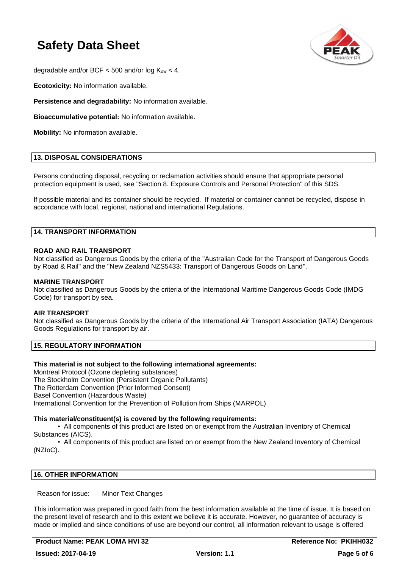

degradable and/or BCF  $<$  500 and/or log  $K_{ow}$   $<$  4.

**Ecotoxicity:** No information available.

**Persistence and degradability:** No information available.

**Bioaccumulative potential:** No information available.

**Mobility:** No information available.

### **13. DISPOSAL CONSIDERATIONS**

Persons conducting disposal, recycling or reclamation activities should ensure that appropriate personal protection equipment is used, see "Section 8. Exposure Controls and Personal Protection" of this SDS.

If possible material and its container should be recycled. If material or container cannot be recycled, dispose in accordance with local, regional, national and international Regulations.

### **14. TRANSPORT INFORMATION**

### **ROAD AND RAIL TRANSPORT**

Not classified as Dangerous Goods by the criteria of the "Australian Code for the Transport of Dangerous Goods by Road & Rail" and the "New Zealand NZS5433: Transport of Dangerous Goods on Land".

#### **MARINE TRANSPORT**

Not classified as Dangerous Goods by the criteria of the International Maritime Dangerous Goods Code (IMDG Code) for transport by sea.

#### **AIR TRANSPORT**

Not classified as Dangerous Goods by the criteria of the International Air Transport Association (IATA) Dangerous Goods Regulations for transport by air.

# **15. REGULATORY INFORMATION**

#### **This material is not subject to the following international agreements:**

Montreal Protocol (Ozone depleting substances) The Stockholm Convention (Persistent Organic Pollutants) The Rotterdam Convention (Prior Informed Consent) Basel Convention (Hazardous Waste) International Convention for the Prevention of Pollution from Ships (MARPOL)

#### **This material/constituent(s) is covered by the following requirements:**

• All components of this product are listed on or exempt from the Australian Inventory of Chemical Substances (AICS).

• All components of this product are listed on or exempt from the New Zealand Inventory of Chemical (NZIoC).

# **16. OTHER INFORMATION**

Reason for issue: Minor Text Changes

This information was prepared in good faith from the best information available at the time of issue. It is based on the present level of research and to this extent we believe it is accurate. However, no guarantee of accuracy is made or implied and since conditions of use are beyond our control, all information relevant to usage is offered